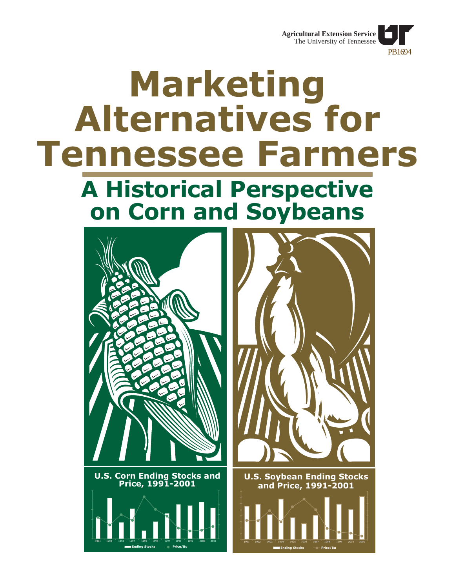

# **Marketing Alternatives for Tennessee Farmers**

# **A Historical Perspective on Corn and Soybeans**

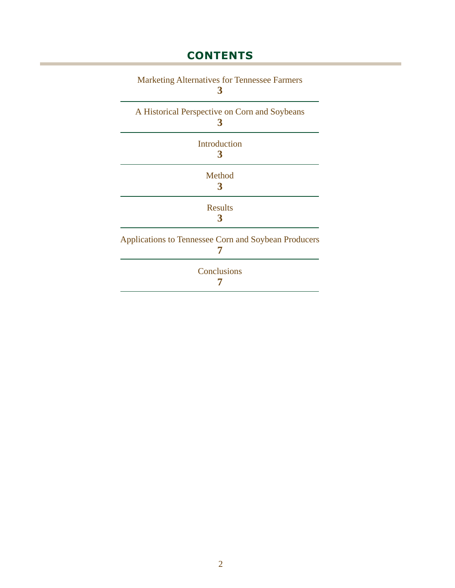### **CONTENTS**

| <b>Marketing Alternatives for Tennessee Farmers</b><br>3    |
|-------------------------------------------------------------|
| A Historical Perspective on Corn and Soybeans<br>3          |
| Introduction<br>3                                           |
| Method<br>3                                                 |
| <b>Results</b>                                              |
| <b>Applications to Tennessee Corn and Soybean Producers</b> |
| Conclusions                                                 |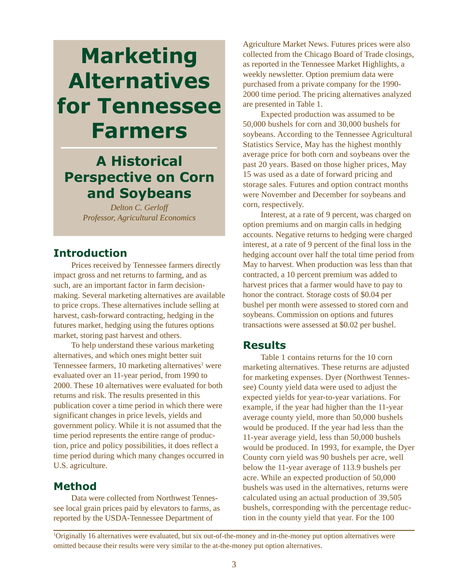# <span id="page-2-0"></span>**Marketing Alternatives for Tennessee Farmers**

### **A Historical Perspective on Corn and Soybeans**

*Delton C. Gerloff Professor, Agricultural Economics*

#### **Introduction**

Prices received by Tennessee farmers directly impact gross and net returns to farming, and as such, are an important factor in farm decisionmaking. Several marketing alternatives are available to price crops. These alternatives include selling at harvest, cash-forward contracting, hedging in the futures market, hedging using the futures options market, storing past harvest and others.

To help understand these various marketing alternatives, and which ones might better suit Tennessee farmers, 10 marketing alternatives<sup>1</sup> were evaluated over an 11-year period, from 1990 to 2000. These 10 alternatives were evaluated for both returns and risk. The results presented in this publication cover a time period in which there were significant changes in price levels, yields and government policy. While it is not assumed that the time period represents the entire range of production, price and policy possibilities, it does reflect a time period during which many changes occurred in U.S. agriculture.

#### **Method**

Data were collected from Northwest Tennessee local grain prices paid by elevators to farms, as reported by the USDA-Tennessee Department of

Agriculture Market News. Futures prices were also collected from the Chicago Board of Trade closings, as reported in the Tennessee Market Highlights, a weekly newsletter. Option premium data were purchased from a private company for the 1990- 2000 time period. The pricing alternatives analyzed are presented in Table 1.

Expected production was assumed to be 50,000 bushels for corn and 30,000 bushels for soybeans. According to the Tennessee Agricultural Statistics Service, May has the highest monthly average price for both corn and soybeans over the past 20 years. Based on those higher prices, May 15 was used as a date of forward pricing and storage sales. Futures and option contract months were November and December for soybeans and corn, respectively.

Interest, at a rate of 9 percent, was charged on option premiums and on margin calls in hedging accounts. Negative returns to hedging were charged interest, at a rate of 9 percent of the final loss in the hedging account over half the total time period from May to harvest. When production was less than that contracted, a 10 percent premium was added to harvest prices that a farmer would have to pay to honor the contract. Storage costs of \$0.04 per bushel per month were assessed to stored corn and soybeans. Commission on options and futures transactions were assessed at \$0.02 per bushel.

#### **Results**

Table 1 contains returns for the 10 corn marketing alternatives. These returns are adjusted for marketing expenses. Dyer (Northwest Tennessee) County yield data were used to adjust the expected yields for year-to-year variations. For example, if the year had higher than the 11-year average county yield, more than 50,000 bushels would be produced. If the year had less than the 11-year average yield, less than 50,000 bushels would be produced. In 1993, for example, the Dyer County corn yield was 90 bushels per acre, well below the 11-year average of 113.9 bushels per acre. While an expected production of 50,000 bushels was used in the alternatives, returns were calculated using an actual production of 39,505 bushels, corresponding with the percentage reduction in the county yield that year. For the 100

<sup>1</sup> Originally 16 alternatives were evaluated, but six out-of-the-money and in-the-money put option alternatives were omitted because their results were very similar to the at-the-money put option alternatives.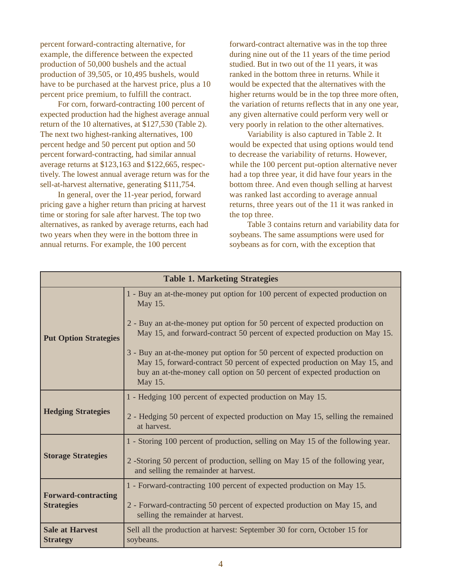percent forward-contracting alternative, for example, the difference between the expected production of 50,000 bushels and the actual production of 39,505, or 10,495 bushels, would have to be purchased at the harvest price, plus a 10 percent price premium, to fulfill the contract.

For corn, forward-contracting 100 percent of expected production had the highest average annual return of the 10 alternatives, at \$127,530 (Table 2). The next two highest-ranking alternatives, 100 percent hedge and 50 percent put option and 50 percent forward-contracting, had similar annual average returns at \$123,163 and \$122,665, respectively. The lowest annual average return was for the sell-at-harvest alternative, generating \$111,754.

In general, over the 11-year period, forward pricing gave a higher return than pricing at harvest time or storing for sale after harvest. The top two alternatives, as ranked by average returns, each had two years when they were in the bottom three in annual returns. For example, the 100 percent

forward-contract alternative was in the top three during nine out of the 11 years of the time period studied. But in two out of the 11 years, it was ranked in the bottom three in returns. While it would be expected that the alternatives with the higher returns would be in the top three more often, the variation of returns reflects that in any one year, any given alternative could perform very well or very poorly in relation to the other alternatives.

Variability is also captured in Table 2. It would be expected that using options would tend to decrease the variability of returns. However, while the 100 percent put-option alternative never had a top three year, it did have four years in the bottom three. And even though selling at harvest was ranked last according to average annual returns, three years out of the 11 it was ranked in the top three.

Table 3 contains return and variability data for soybeans. The same assumptions were used for soybeans as for corn, with the exception that

| <b>Table 1. Marketing Strategies</b>            |                                                                                                                                                                                                                                                                                                                                                                                                                                                                                                       |  |  |  |  |  |
|-------------------------------------------------|-------------------------------------------------------------------------------------------------------------------------------------------------------------------------------------------------------------------------------------------------------------------------------------------------------------------------------------------------------------------------------------------------------------------------------------------------------------------------------------------------------|--|--|--|--|--|
| <b>Put Option Strategies</b>                    | 1 - Buy an at-the-money put option for 100 percent of expected production on<br>May 15.<br>2 - Buy an at-the-money put option for 50 percent of expected production on<br>May 15, and forward-contract 50 percent of expected production on May 15.<br>3 - Buy an at-the-money put option for 50 percent of expected production on<br>May 15, forward-contract 50 percent of expected production on May 15, and<br>buy an at-the-money call option on 50 percent of expected production on<br>May 15. |  |  |  |  |  |
| <b>Hedging Strategies</b>                       | 1 - Hedging 100 percent of expected production on May 15.<br>2 - Hedging 50 percent of expected production on May 15, selling the remained<br>at harvest.                                                                                                                                                                                                                                                                                                                                             |  |  |  |  |  |
| <b>Storage Strategies</b>                       | 1 - Storing 100 percent of production, selling on May 15 of the following year.<br>2 -Storing 50 percent of production, selling on May 15 of the following year,<br>and selling the remainder at harvest.                                                                                                                                                                                                                                                                                             |  |  |  |  |  |
| <b>Forward-contracting</b><br><b>Strategies</b> | 1 - Forward-contracting 100 percent of expected production on May 15.<br>2 - Forward-contracting 50 percent of expected production on May 15, and<br>selling the remainder at harvest.                                                                                                                                                                                                                                                                                                                |  |  |  |  |  |
| <b>Sale at Harvest</b><br><b>Strategy</b>       | Sell all the production at harvest: September 30 for corn, October 15 for<br>soybeans.                                                                                                                                                                                                                                                                                                                                                                                                                |  |  |  |  |  |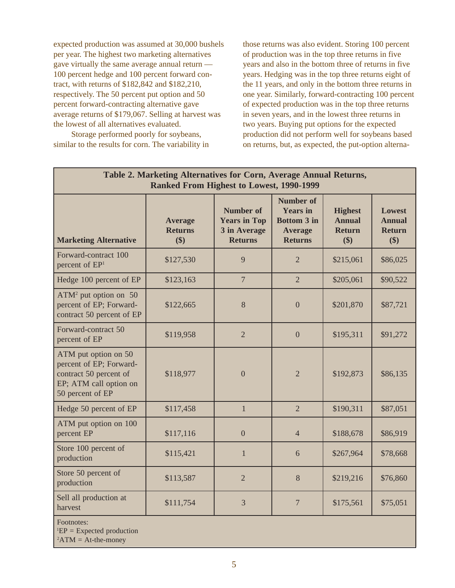expected production was assumed at 30,000 bushels per year. The highest two marketing alternatives gave virtually the same average annual return — 100 percent hedge and 100 percent forward contract, with returns of \$182,842 and \$182,210, respectively. The 50 percent put option and 50 percent forward-contracting alternative gave average returns of \$179,067. Selling at harvest was the lowest of all alternatives evaluated.

Storage performed poorly for soybeans, similar to the results for corn. The variability in those returns was also evident. Storing 100 percent of production was in the top three returns in five years and also in the bottom three of returns in five years. Hedging was in the top three returns eight of the 11 years, and only in the bottom three returns in one year. Similarly, forward-contracting 100 percent of expected production was in the top three returns in seven years, and in the lowest three returns in two years. Buying put options for the expected production did not perform well for soybeans based on returns, but, as expected, the put-option alterna-

| Table 2. Marketing Alternatives for Corn, Average Annual Returns,<br><b>Ranked From Highest to Lowest, 1990-1999</b>    |                                         |                                                                           |                                                                                               |                                                         |                                                        |  |  |  |
|-------------------------------------------------------------------------------------------------------------------------|-----------------------------------------|---------------------------------------------------------------------------|-----------------------------------------------------------------------------------------------|---------------------------------------------------------|--------------------------------------------------------|--|--|--|
| <b>Marketing Alternative</b>                                                                                            | <b>Average</b><br><b>Returns</b><br>\$) | <b>Number of</b><br><b>Years in Top</b><br>3 in Average<br><b>Returns</b> | <b>Number of</b><br><b>Years</b> in<br><b>Bottom 3 in</b><br><b>Average</b><br><b>Returns</b> | <b>Highest</b><br><b>Annual</b><br><b>Return</b><br>\$) | <b>Lowest</b><br><b>Annual</b><br><b>Return</b><br>\$) |  |  |  |
| Forward-contract 100<br>percent of EP <sup>1</sup>                                                                      | \$127,530                               | 9                                                                         | $\overline{2}$                                                                                | \$215,061                                               | \$86,025                                               |  |  |  |
| Hedge 100 percent of EP                                                                                                 | \$123,163                               | $\overline{7}$                                                            | $\overline{2}$                                                                                | \$205,061                                               | \$90,522                                               |  |  |  |
| $ATM2$ put option on 50<br>percent of EP; Forward-<br>contract 50 percent of EP                                         | \$122,665                               | 8                                                                         | $\overline{0}$                                                                                | \$201,870                                               | \$87,721                                               |  |  |  |
| Forward-contract 50<br>percent of EP                                                                                    | \$119,958                               | $\overline{2}$                                                            | $\overline{0}$                                                                                | \$195,311                                               | \$91,272                                               |  |  |  |
| ATM put option on 50<br>percent of EP; Forward-<br>contract 50 percent of<br>EP; ATM call option on<br>50 percent of EP | \$118,977                               | $\overline{0}$                                                            | $\overline{2}$                                                                                | \$192,873                                               | \$86,135                                               |  |  |  |
| Hedge 50 percent of EP                                                                                                  | \$117,458                               | $\mathbf{1}$                                                              | $\overline{2}$                                                                                | \$190,311                                               | \$87,051                                               |  |  |  |
| ATM put option on 100<br>percent EP                                                                                     | \$117,116                               | $\overline{0}$                                                            | $\overline{4}$                                                                                | \$188,678                                               | \$86,919                                               |  |  |  |
| Store 100 percent of<br>production                                                                                      | \$115,421                               | $\mathbf{1}$                                                              | 6                                                                                             | \$267,964                                               | \$78,668                                               |  |  |  |
| Store 50 percent of<br>production                                                                                       | \$113,587                               | $\overline{2}$                                                            | 8                                                                                             | \$219,216                                               | \$76,860                                               |  |  |  |
| Sell all production at<br>harvest                                                                                       | \$111,754                               | 3                                                                         | $\boldsymbol{7}$                                                                              | \$175,561                                               | \$75,051                                               |  |  |  |
| Footnotes:<br>$E$ P = Expected production<br>${}^{2}ATM = At$ -the-money                                                |                                         |                                                                           |                                                                                               |                                                         |                                                        |  |  |  |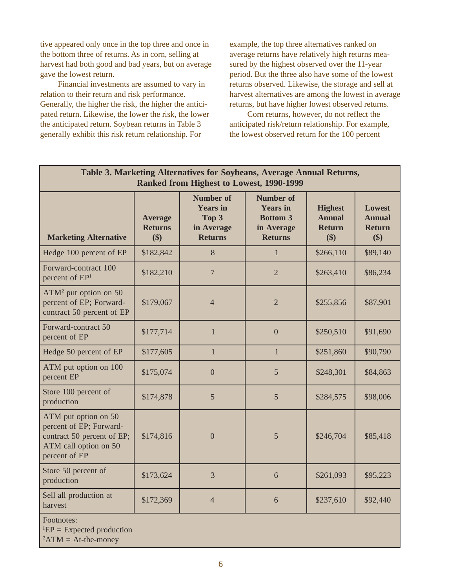tive appeared only once in the top three and once in the bottom three of returns. As in corn, selling at harvest had both good and bad years, but on average gave the lowest return.

Financial investments are assumed to vary in relation to their return and risk performance. Generally, the higher the risk, the higher the anticipated return. Likewise, the lower the risk, the lower the anticipated return. Soybean returns in Table 3 generally exhibit this risk return relationship. For

example, the top three alternatives ranked on average returns have relatively high returns measured by the highest observed over the 11-year period. But the three also have some of the lowest returns observed. Likewise, the storage and sell at harvest alternatives are among the lowest in average returns, but have higher lowest observed returns.

Corn returns, however, do not reflect the anticipated risk/return relationship. For example, the lowest observed return for the 100 percent

| Table 3. Marketing Alternatives for Soybeans, Average Annual Returns,<br>Ranked from Highest to Lowest, 1990-1999       |                                         |                                                                              |                                                                                        |                                                         |                                                        |  |  |  |
|-------------------------------------------------------------------------------------------------------------------------|-----------------------------------------|------------------------------------------------------------------------------|----------------------------------------------------------------------------------------|---------------------------------------------------------|--------------------------------------------------------|--|--|--|
| <b>Marketing Alternative</b>                                                                                            | <b>Average</b><br><b>Returns</b><br>\$) | <b>Number of</b><br><b>Years</b> in<br>Top 3<br>in Average<br><b>Returns</b> | <b>Number of</b><br><b>Years</b> in<br><b>Bottom 3</b><br>in Average<br><b>Returns</b> | <b>Highest</b><br><b>Annual</b><br><b>Return</b><br>\$) | <b>Lowest</b><br><b>Annual</b><br><b>Return</b><br>\$) |  |  |  |
| Hedge 100 percent of EP                                                                                                 | \$182,842                               | 8                                                                            | $\mathbf{1}$                                                                           | \$266,110                                               | \$89,140                                               |  |  |  |
| Forward-contract 100<br>percent of EP <sup>1</sup>                                                                      | \$182,210                               | $\overline{7}$                                                               | $\overline{2}$                                                                         | \$263,410                                               | \$86,234                                               |  |  |  |
| $ATM2$ put option on 50<br>percent of EP; Forward-<br>contract 50 percent of EP                                         | \$179,067                               | $\overline{4}$                                                               | $\overline{2}$                                                                         | \$255,856                                               | \$87,901                                               |  |  |  |
| Forward-contract 50<br>percent of EP                                                                                    | \$177,714                               | $\mathbf{1}$                                                                 | $\overline{0}$                                                                         | \$250,510                                               | \$91,690                                               |  |  |  |
| Hedge 50 percent of EP                                                                                                  | \$177,605                               | $\mathbf{1}$                                                                 | $\mathbf{1}$                                                                           | \$251,860                                               | \$90,790                                               |  |  |  |
| ATM put option on 100<br>percent EP                                                                                     | \$175,074                               | $\overline{0}$                                                               | 5                                                                                      | \$248,301                                               | \$84,863                                               |  |  |  |
| Store 100 percent of<br>production                                                                                      | \$174,878                               | 5                                                                            | 5                                                                                      | \$284,575                                               | \$98,006                                               |  |  |  |
| ATM put option on 50<br>percent of EP; Forward-<br>contract 50 percent of EP;<br>ATM call option on 50<br>percent of EP | \$174,816                               | $\overline{0}$                                                               | 5                                                                                      | \$246,704                                               | \$85,418                                               |  |  |  |
| Store 50 percent of<br>production                                                                                       | \$173,624                               | $\overline{3}$                                                               | 6                                                                                      | \$261,093                                               | \$95,223                                               |  |  |  |
| Sell all production at<br>harvest                                                                                       | \$172,369                               | $\overline{4}$                                                               | 6                                                                                      | \$237,610                                               | \$92,440                                               |  |  |  |
| Footnotes:<br>${}^{1}EP =$ Expected production<br>${}^{2}ATM = At$ -the-money                                           |                                         |                                                                              |                                                                                        |                                                         |                                                        |  |  |  |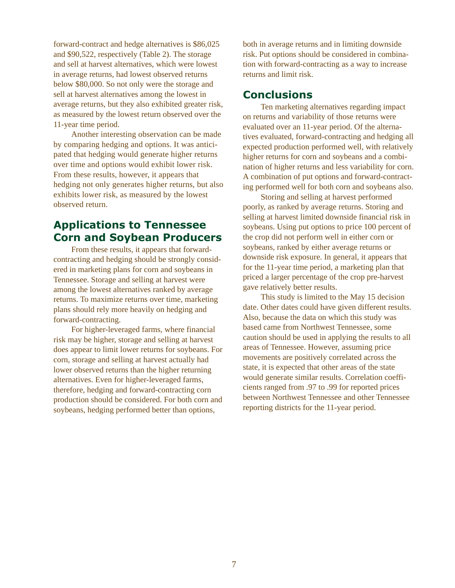<span id="page-6-0"></span>forward-contract and hedge alternatives is \$86,025 and \$90,522, respectively (Table 2). The storage and sell at harvest alternatives, which were lowest in average returns, had lowest observed returns below \$80,000. So not only were the storage and sell at harvest alternatives among the lowest in average returns, but they also exhibited greater risk, as measured by the lowest return observed over the 11-year time period.

Another interesting observation can be made by comparing hedging and options. It was anticipated that hedging would generate higher returns over time and options would exhibit lower risk. From these results, however, it appears that hedging not only generates higher returns, but also exhibits lower risk, as measured by the lowest observed return.

#### **Applications to Tennessee Corn and Soybean Producers**

From these results, it appears that forwardcontracting and hedging should be strongly considered in marketing plans for corn and soybeans in Tennessee. Storage and selling at harvest were among the lowest alternatives ranked by average returns. To maximize returns over time, marketing plans should rely more heavily on hedging and forward-contracting.

For higher-leveraged farms, where financial risk may be higher, storage and selling at harvest does appear to limit lower returns for soybeans. For corn, storage and selling at harvest actually had lower observed returns than the higher returning alternatives. Even for higher-leveraged farms, therefore, hedging and forward-contracting corn production should be considered. For both corn and soybeans, hedging performed better than options,

both in average returns and in limiting downside risk. Put options should be considered in combination with forward-contracting as a way to increase returns and limit risk.

#### **Conclusions**

Ten marketing alternatives regarding impact on returns and variability of those returns were evaluated over an 11-year period. Of the alternatives evaluated, forward-contracting and hedging all expected production performed well, with relatively higher returns for corn and soybeans and a combination of higher returns and less variability for corn. A combination of put options and forward-contracting performed well for both corn and soybeans also.

Storing and selling at harvest performed poorly, as ranked by average returns. Storing and selling at harvest limited downside financial risk in soybeans. Using put options to price 100 percent of the crop did not perform well in either corn or soybeans, ranked by either average returns or downside risk exposure. In general, it appears that for the 11-year time period, a marketing plan that priced a larger percentage of the crop pre-harvest gave relatively better results.

This study is limited to the May 15 decision date. Other dates could have given different results. Also, because the data on which this study was based came from Northwest Tennessee, some caution should be used in applying the results to all areas of Tennessee. However, assuming price movements are positively correlated across the state, it is expected that other areas of the state would generate similar results. Correlation coefficients ranged from .97 to .99 for reported prices between Northwest Tennessee and other Tennessee reporting districts for the 11-year period.